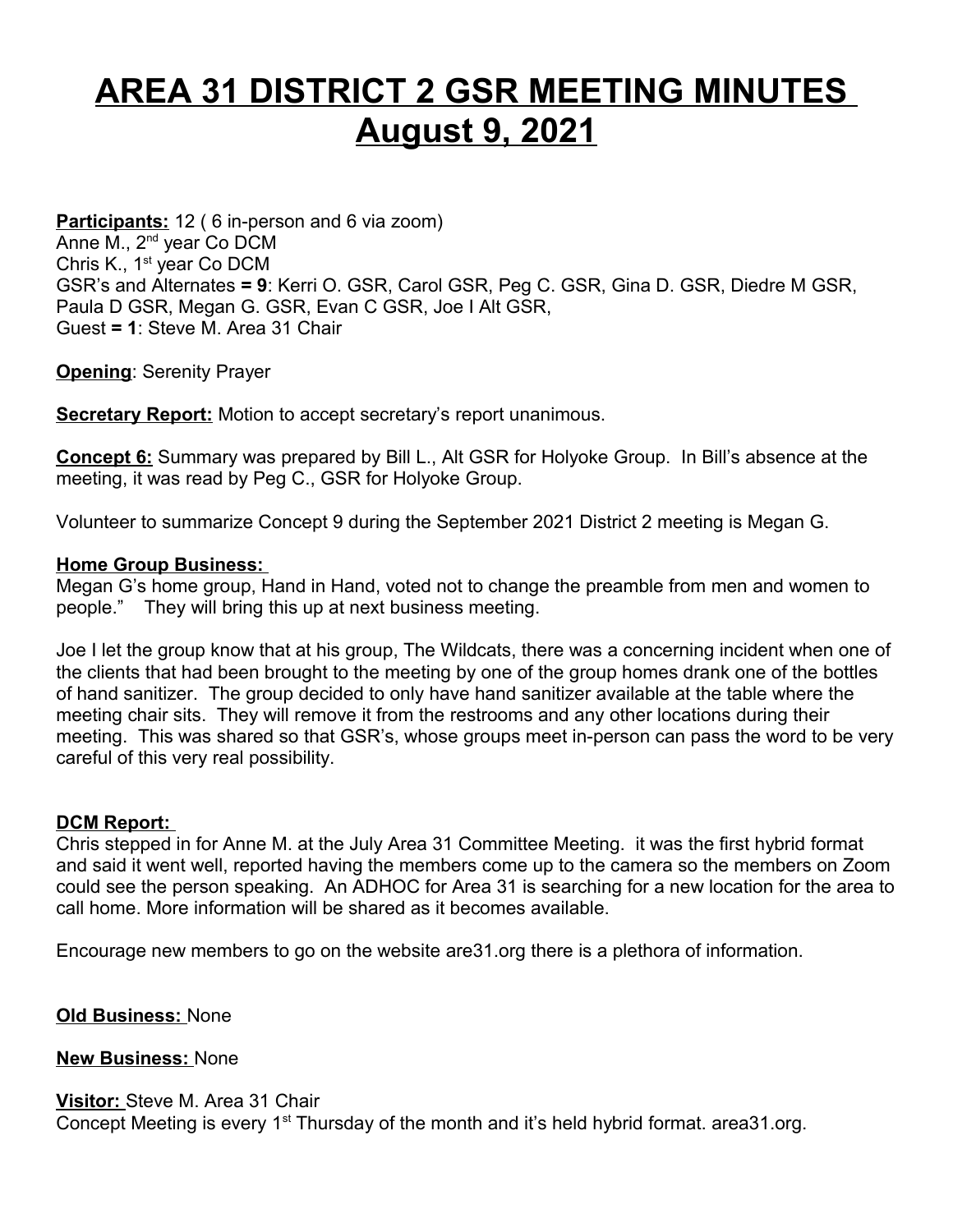## **AREA 31 DISTRICT 2 GSR MEETING MINUTES August 9, 2021**

**Participants:** 12 (6 in-person and 6 via zoom) Anne M., 2<sup>nd</sup> year Co DCM Chris K., 1<sup>st</sup> year Co DCM GSR's and Alternates **= 9**: Kerri O. GSR, Carol GSR, Peg C. GSR, Gina D. GSR, Diedre M GSR, Paula D GSR, Megan G. GSR, Evan C GSR, Joe I Alt GSR, Guest **= 1**: Steve M. Area 31 Chair

**Opening**: Serenity Prayer

**Secretary Report:** Motion to accept secretary's report unanimous.

**Concept 6:** Summary was prepared by Bill L., Alt GSR for Holyoke Group. In Bill's absence at the meeting, it was read by Peg C., GSR for Holyoke Group.

Volunteer to summarize Concept 9 during the September 2021 District 2 meeting is Megan G.

## **Home Group Business:**

Megan G's home group, Hand in Hand, voted not to change the preamble from men and women to people." They will bring this up at next business meeting.

Joe I let the group know that at his group, The Wildcats, there was a concerning incident when one of the clients that had been brought to the meeting by one of the group homes drank one of the bottles of hand sanitizer. The group decided to only have hand sanitizer available at the table where the meeting chair sits. They will remove it from the restrooms and any other locations during their meeting. This was shared so that GSR's, whose groups meet in-person can pass the word to be very careful of this very real possibility.

## **DCM Report:**

Chris stepped in for Anne M. at the July Area 31 Committee Meeting. it was the first hybrid format and said it went well, reported having the members come up to the camera so the members on Zoom could see the person speaking. An ADHOC for Area 31 is searching for a new location for the area to call home. More information will be shared as it becomes available.

Encourage new members to go on the website are31.org there is a plethora of information.

**Old Business:** None

**New Business:** None

## **Visitor:** Steve M. Area 31 Chair

Concept Meeting is every 1<sup>st</sup> Thursday of the month and it's held hybrid format. area 31.org.